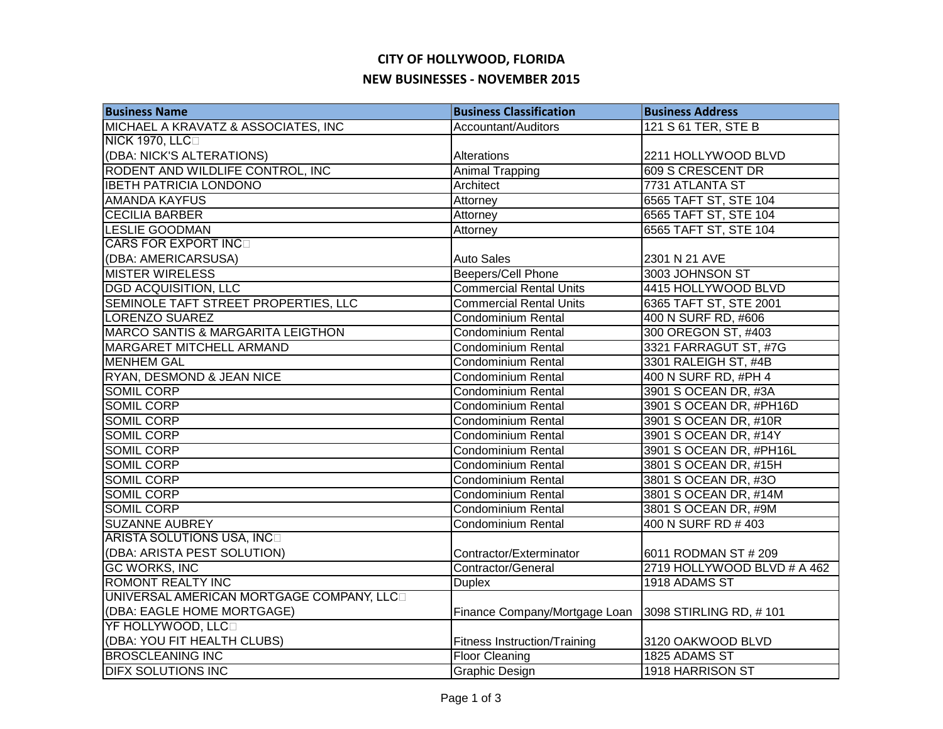## **CITY OF HOLLYWOOD, FLORIDA NEW BUSINESSES - NOVEMBER 2015**

| <b>Business Name</b>                      | <b>Business Classification</b>                         | <b>Business Address</b>     |
|-------------------------------------------|--------------------------------------------------------|-----------------------------|
| MICHAEL A KRAVATZ & ASSOCIATES, INC       | <b>Accountant/Auditors</b>                             | 121 S 61 TER, STE B         |
| <b>NICK 1970, LLCD</b>                    |                                                        |                             |
| (DBA: NICK'S ALTERATIONS)                 | Alterations                                            | 2211 HOLLYWOOD BLVD         |
| RODENT AND WILDLIFE CONTROL, INC          | Animal Trapping                                        | <b>609 S CRESCENT DR</b>    |
| <b>IBETH PATRICIA LONDONO</b>             | Architect                                              | 7731 ATLANTA ST             |
| <b>AMANDA KAYFUS</b>                      | Attorney                                               | 6565 TAFT ST, STE 104       |
| <b>CECILIA BARBER</b>                     | Attorney                                               | 6565 TAFT ST, STE 104       |
| <b>LESLIE GOODMAN</b>                     | Attorney                                               | 6565 TAFT ST, STE 104       |
| <b>CARS FOR EXPORT INCO</b>               |                                                        |                             |
| (DBA: AMERICARSUSA)                       | <b>Auto Sales</b>                                      | 2301 N 21 AVE               |
| <b>MISTER WIRELESS</b>                    | Beepers/Cell Phone                                     | 3003 JOHNSON ST             |
| <b>DGD ACQUISITION, LLC</b>               | <b>Commercial Rental Units</b>                         | 4415 HOLLYWOOD BLVD         |
| SEMINOLE TAFT STREET PROPERTIES, LLC      | <b>Commercial Rental Units</b>                         | 6365 TAFT ST, STE 2001      |
| LORENZO SUAREZ                            | Condominium Rental                                     | 400 N SURF RD, #606         |
| MARCO SANTIS & MARGARITA LEIGTHON         | Condominium Rental                                     | 300 OREGON ST, #403         |
| <b>MARGARET MITCHELL ARMAND</b>           | <b>Condominium Rental</b>                              | 3321 FARRAGUT ST, #7G       |
| <b>MENHEM GAL</b>                         | <b>Condominium Rental</b>                              | 3301 RALEIGH ST, #4B        |
| RYAN, DESMOND & JEAN NICE                 | <b>Condominium Rental</b>                              | 400 N SURF RD, #PH 4        |
| <b>SOMIL CORP</b>                         | <b>Condominium Rental</b>                              | 3901 S OCEAN DR, #3A        |
| <b>SOMIL CORP</b>                         | <b>Condominium Rental</b>                              | 3901 S OCEAN DR, #PH16D     |
| <b>SOMIL CORP</b>                         | Condominium Rental                                     | 3901 S OCEAN DR, #10R       |
| <b>SOMIL CORP</b>                         | Condominium Rental                                     | 3901 S OCEAN DR, #14Y       |
| <b>SOMIL CORP</b>                         | <b>Condominium Rental</b>                              | 3901 S OCEAN DR, #PH16L     |
| <b>SOMIL CORP</b>                         | <b>Condominium Rental</b>                              | 3801 S OCEAN DR, #15H       |
| <b>SOMIL CORP</b>                         | Condominium Rental                                     | 3801 S OCEAN DR, #3O        |
| <b>SOMIL CORP</b>                         | Condominium Rental                                     | 3801 S OCEAN DR, #14M       |
| <b>SOMIL CORP</b>                         | Condominium Rental                                     | 3801 S OCEAN DR, #9M        |
| <b>SUZANNE AUBREY</b>                     | <b>Condominium Rental</b>                              | 400 N SURF RD #403          |
| ARISTA SOLUTIONS USA, INCO                |                                                        |                             |
| (DBA: ARISTA PEST SOLUTION)               | Contractor/Exterminator                                | 6011 RODMAN ST # 209        |
| <b>GC WORKS, INC</b>                      | Contractor/General                                     | 2719 HOLLYWOOD BLVD # A 462 |
| <b>ROMONT REALTY INC</b>                  | <b>Duplex</b>                                          | 1918 ADAMS ST               |
| UNIVERSAL AMERICAN MORTGAGE COMPANY, LLCD |                                                        |                             |
| (DBA: EAGLE HOME MORTGAGE)                | Finance Company/Mortgage Loan   3098 STIRLING RD, #101 |                             |
| YF HOLLYWOOD, LLC                         |                                                        |                             |
| (DBA: YOU FIT HEALTH CLUBS)               | Fitness Instruction/Training                           | 3120 OAKWOOD BLVD           |
| <b>BROSCLEANING INC</b>                   | <b>Floor Cleaning</b>                                  | 1825 ADAMS ST               |
| <b>DIFX SOLUTIONS INC</b>                 | <b>Graphic Design</b>                                  | 1918 HARRISON ST            |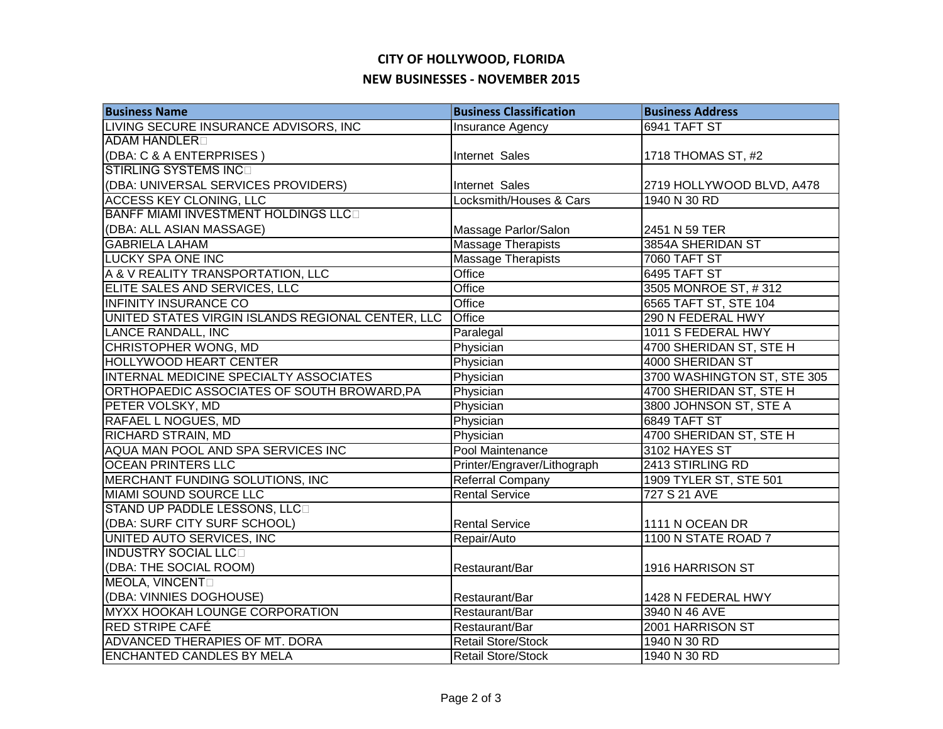## **CITY OF HOLLYWOOD, FLORIDA NEW BUSINESSES - NOVEMBER 2015**

| <b>Business Name</b>                              | <b>Business Classification</b> | <b>Business Address</b>     |
|---------------------------------------------------|--------------------------------|-----------------------------|
| LIVING SECURE INSURANCE ADVISORS, INC.            | <b>Insurance Agency</b>        | 6941 TAFT ST                |
| ADAM HANDLER <sub>D</sub>                         |                                |                             |
| (DBA: C & A ENTERPRISES)                          | Internet Sales                 | 1718 THOMAS ST, #2          |
| <b>STIRLING SYSTEMS INCO</b>                      |                                |                             |
| (DBA: UNIVERSAL SERVICES PROVIDERS)               | Internet Sales                 | 2719 HOLLYWOOD BLVD, A478   |
| <b>ACCESS KEY CLONING, LLC</b>                    | Locksmith/Houses & Cars        | 1940 N 30 RD                |
| BANFF MIAMI INVESTMENT HOLDINGS LLCD              |                                |                             |
| (DBA: ALL ASIAN MASSAGE)                          | Massage Parlor/Salon           | 2451 N 59 TER               |
| <b>GABRIELA LAHAM</b>                             | <b>Massage Therapists</b>      | 3854A SHERIDAN ST           |
| <b>LUCKY SPA ONE INC</b>                          | <b>Massage Therapists</b>      | <b>7060 TAFT ST</b>         |
| A & V REALITY TRANSPORTATION, LLC                 | Office                         | 6495 TAFT ST                |
| ELITE SALES AND SERVICES, LLC                     | Office                         | 3505 MONROE ST, #312        |
| <b>INFINITY INSURANCE CO</b>                      | Office                         | 6565 TAFT ST, STE 104       |
| UNITED STATES VIRGIN ISLANDS REGIONAL CENTER, LLC | Office                         | 290 N FEDERAL HWY           |
| <b>LANCE RANDALL, INC</b>                         | Paralegal                      | 1011 S FEDERAL HWY          |
| <b>CHRISTOPHER WONG, MD</b>                       | Physician                      | 4700 SHERIDAN ST, STE H     |
| <b>HOLLYWOOD HEART CENTER</b>                     | Physician                      | 4000 SHERIDAN ST            |
| INTERNAL MEDICINE SPECIALTY ASSOCIATES            | Physician                      | 3700 WASHINGTON ST, STE 305 |
| ORTHOPAEDIC ASSOCIATES OF SOUTH BROWARD, PA       | Physician                      | 4700 SHERIDAN ST, STE H     |
| PETER VOLSKY, MD                                  | Physician                      | 3800 JOHNSON ST, STE A      |
| <b>RAFAEL L NOGUES, MD</b>                        | Physician                      | 6849 TAFT ST                |
| <b>RICHARD STRAIN, MD</b>                         | Physician                      | 4700 SHERIDAN ST, STE H     |
| AQUA MAN POOL AND SPA SERVICES INC                | Pool Maintenance               | 3102 HAYES ST               |
| <b>OCEAN PRINTERS LLC</b>                         | Printer/Engraver/Lithograph    | 2413 STIRLING RD            |
| MERCHANT FUNDING SOLUTIONS, INC                   | <b>Referral Company</b>        | 1909 TYLER ST, STE 501      |
| <b>MIAMI SOUND SOURCE LLC</b>                     | <b>Rental Service</b>          | 727 S 21 AVE                |
| STAND UP PADDLE LESSONS, LLCD                     |                                |                             |
| (DBA: SURF CITY SURF SCHOOL)                      | <b>Rental Service</b>          | 1111 N OCEAN DR             |
| UNITED AUTO SERVICES, INC.                        | Repair/Auto                    | 1100 N STATE ROAD 7         |
| INDUSTRY SOCIAL LLCO                              |                                |                             |
| (DBA: THE SOCIAL ROOM)                            | Restaurant/Bar                 | 1916 HARRISON ST            |
| <b>MEOLA, VINCENT</b>                             |                                |                             |
| (DBA: VINNIES DOGHOUSE)                           | Restaurant/Bar                 | 1428 N FEDERAL HWY          |
| MYXX HOOKAH LOUNGE CORPORATION                    | Restaurant/Bar                 | 3940 N 46 AVE               |
| <b>RED STRIPE CAFÉ</b>                            | Restaurant/Bar                 | 2001 HARRISON ST            |
| ADVANCED THERAPIES OF MT. DORA                    | <b>Retail Store/Stock</b>      | 1940 N 30 RD                |
| <b>ENCHANTED CANDLES BY MELA</b>                  | <b>Retail Store/Stock</b>      | 1940 N 30 RD                |